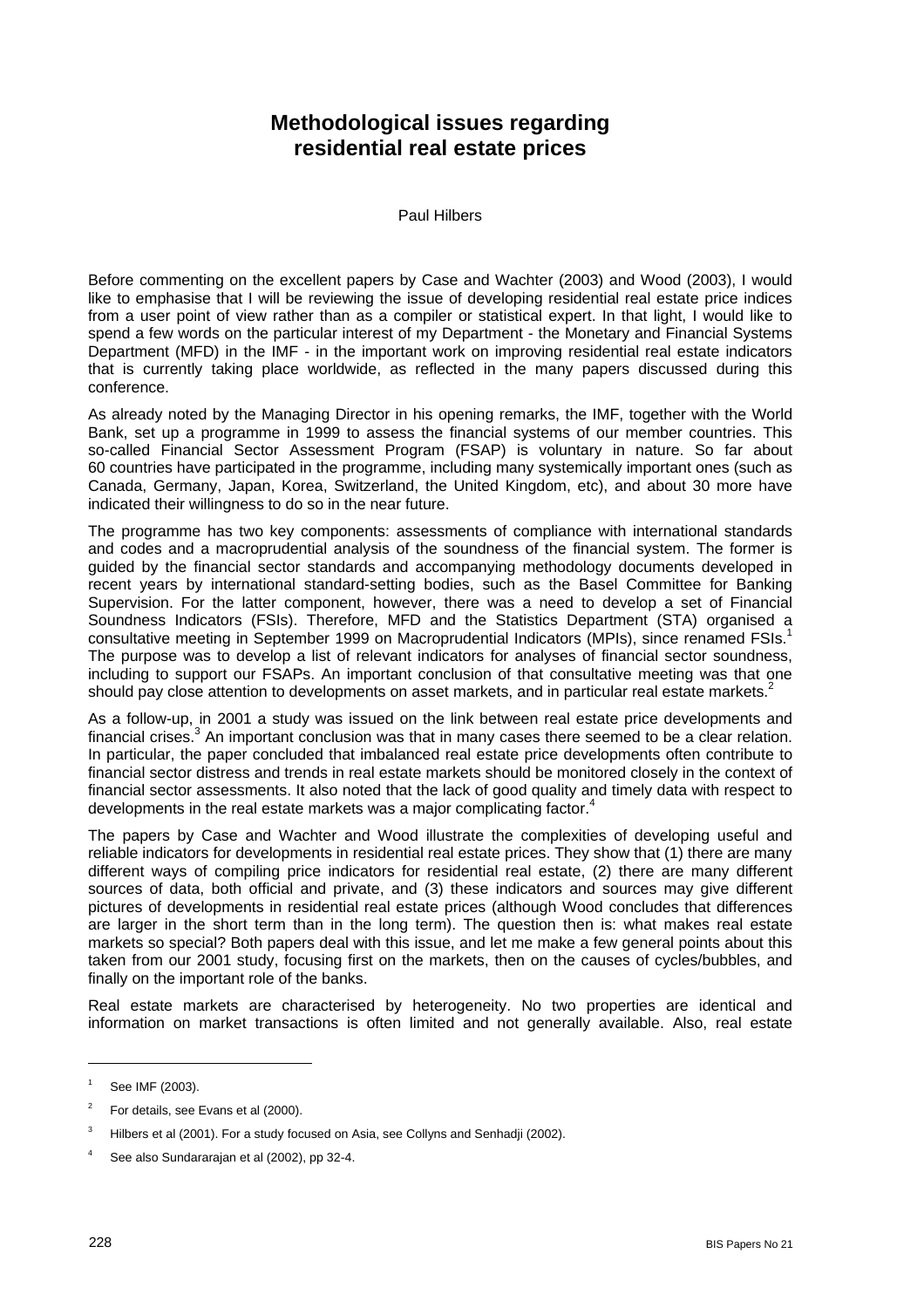## **Methodological issues regarding residential real estate prices**

Paul Hilbers

Before commenting on the excellent papers by Case and Wachter (2003) and Wood (2003), I would like to emphasise that I will be reviewing the issue of developing residential real estate price indices from a user point of view rather than as a compiler or statistical expert. In that light, I would like to spend a few words on the particular interest of my Department - the Monetary and Financial Systems Department (MFD) in the IMF - in the important work on improving residential real estate indicators that is currently taking place worldwide, as reflected in the many papers discussed during this conference.

As already noted by the Managing Director in his opening remarks, the IMF, together with the World Bank, set up a programme in 1999 to assess the financial systems of our member countries. This so-called Financial Sector Assessment Program (FSAP) is voluntary in nature. So far about 60 countries have participated in the programme, including many systemically important ones (such as Canada, Germany, Japan, Korea, Switzerland, the United Kingdom, etc), and about 30 more have indicated their willingness to do so in the near future.

The programme has two key components: assessments of compliance with international standards and codes and a macroprudential analysis of the soundness of the financial system. The former is guided by the financial sector standards and accompanying methodology documents developed in recent years by international standard-setting bodies, such as the Basel Committee for Banking Supervision. For the latter component, however, there was a need to develop a set of Financial Soundness Indicators (FSIs). Therefore, MFD and the Statistics Department (STA) organised a consultative meeting in September 1999 on Macroprudential Indicators (MPIs), since renamed FSIs.<sup>1</sup> The purpose was to develop a list of relevant indicators for analyses of financial sector soundness, including to support our FSAPs. An important conclusion of that consultative meeting was that one should pay close attention to developments on asset markets, and in particular real estate markets.<sup>2</sup>

As a follow-up, in 2001 a study was issued on the link between real estate price developments and financial crises.<sup>3</sup> An important conclusion was that in many cases there seemed to be a clear relation. In particular, the paper concluded that imbalanced real estate price developments often contribute to financial sector distress and trends in real estate markets should be monitored closely in the context of financial sector assessments. It also noted that the lack of good quality and timely data with respect to developments in the real estate markets was a major complicating factor.<sup>4</sup>

The papers by Case and Wachter and Wood illustrate the complexities of developing useful and reliable indicators for developments in residential real estate prices. They show that (1) there are many different ways of compiling price indicators for residential real estate, (2) there are many different sources of data, both official and private, and (3) these indicators and sources may give different pictures of developments in residential real estate prices (although Wood concludes that differences are larger in the short term than in the long term). The question then is: what makes real estate markets so special? Both papers deal with this issue, and let me make a few general points about this taken from our 2001 study, focusing first on the markets, then on the causes of cycles/bubbles, and finally on the important role of the banks.

Real estate markets are characterised by heterogeneity. No two properties are identical and information on market transactions is often limited and not generally available. Also, real estate

l

<sup>1</sup> See IMF (2003).

<sup>2</sup> For details, see Evans et al (2000).

<sup>3</sup> Hilbers et al (2001). For a study focused on Asia, see Collyns and Senhadji (2002).

<sup>4</sup> See also Sundararajan et al (2002), pp 32-4.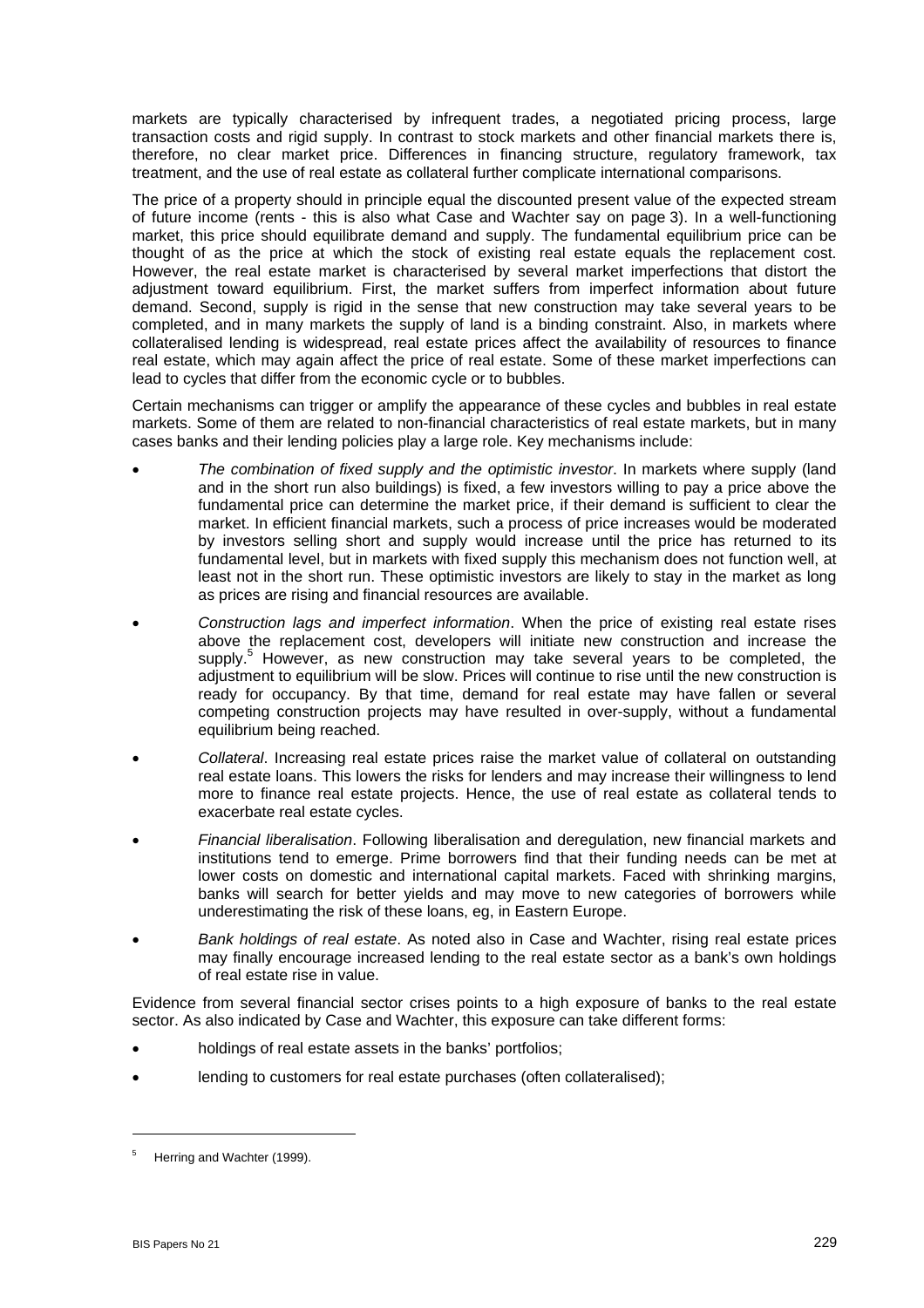markets are typically characterised by infrequent trades, a negotiated pricing process, large transaction costs and rigid supply. In contrast to stock markets and other financial markets there is, therefore, no clear market price. Differences in financing structure, regulatory framework, tax treatment, and the use of real estate as collateral further complicate international comparisons.

The price of a property should in principle equal the discounted present value of the expected stream of future income (rents - this is also what Case and Wachter say on page 3). In a well-functioning market, this price should equilibrate demand and supply. The fundamental equilibrium price can be thought of as the price at which the stock of existing real estate equals the replacement cost. However, the real estate market is characterised by several market imperfections that distort the adjustment toward equilibrium. First, the market suffers from imperfect information about future demand. Second, supply is rigid in the sense that new construction may take several years to be completed, and in many markets the supply of land is a binding constraint. Also, in markets where collateralised lending is widespread, real estate prices affect the availability of resources to finance real estate, which may again affect the price of real estate. Some of these market imperfections can lead to cycles that differ from the economic cycle or to bubbles.

Certain mechanisms can trigger or amplify the appearance of these cycles and bubbles in real estate markets. Some of them are related to non-financial characteristics of real estate markets, but in many cases banks and their lending policies play a large role. Key mechanisms include:

- *The combination of fixed supply and the optimistic investor*. In markets where supply (land and in the short run also buildings) is fixed, a few investors willing to pay a price above the fundamental price can determine the market price, if their demand is sufficient to clear the market. In efficient financial markets, such a process of price increases would be moderated by investors selling short and supply would increase until the price has returned to its fundamental level, but in markets with fixed supply this mechanism does not function well, at least not in the short run. These optimistic investors are likely to stay in the market as long as prices are rising and financial resources are available.
- *Construction lags and imperfect information*. When the price of existing real estate rises above the replacement cost, developers will initiate new construction and increase the supply.<sup>5</sup> However, as new construction may take several years to be completed, the adjustment to equilibrium will be slow. Prices will continue to rise until the new construction is ready for occupancy. By that time, demand for real estate may have fallen or several competing construction projects may have resulted in over-supply, without a fundamental equilibrium being reached.
- *Collateral*. Increasing real estate prices raise the market value of collateral on outstanding real estate loans. This lowers the risks for lenders and may increase their willingness to lend more to finance real estate projects. Hence, the use of real estate as collateral tends to exacerbate real estate cycles.
- *Financial liberalisation*. Following liberalisation and deregulation, new financial markets and institutions tend to emerge. Prime borrowers find that their funding needs can be met at lower costs on domestic and international capital markets. Faced with shrinking margins, banks will search for better yields and may move to new categories of borrowers while underestimating the risk of these loans, eg, in Eastern Europe.
- *Bank holdings of real estate*. As noted also in Case and Wachter, rising real estate prices may finally encourage increased lending to the real estate sector as a bank's own holdings of real estate rise in value.

Evidence from several financial sector crises points to a high exposure of banks to the real estate sector. As also indicated by Case and Wachter, this exposure can take different forms:

- holdings of real estate assets in the banks' portfolios;
- lending to customers for real estate purchases (often collateralised);

 $\overline{a}$ 

<sup>5</sup> Herring and Wachter (1999).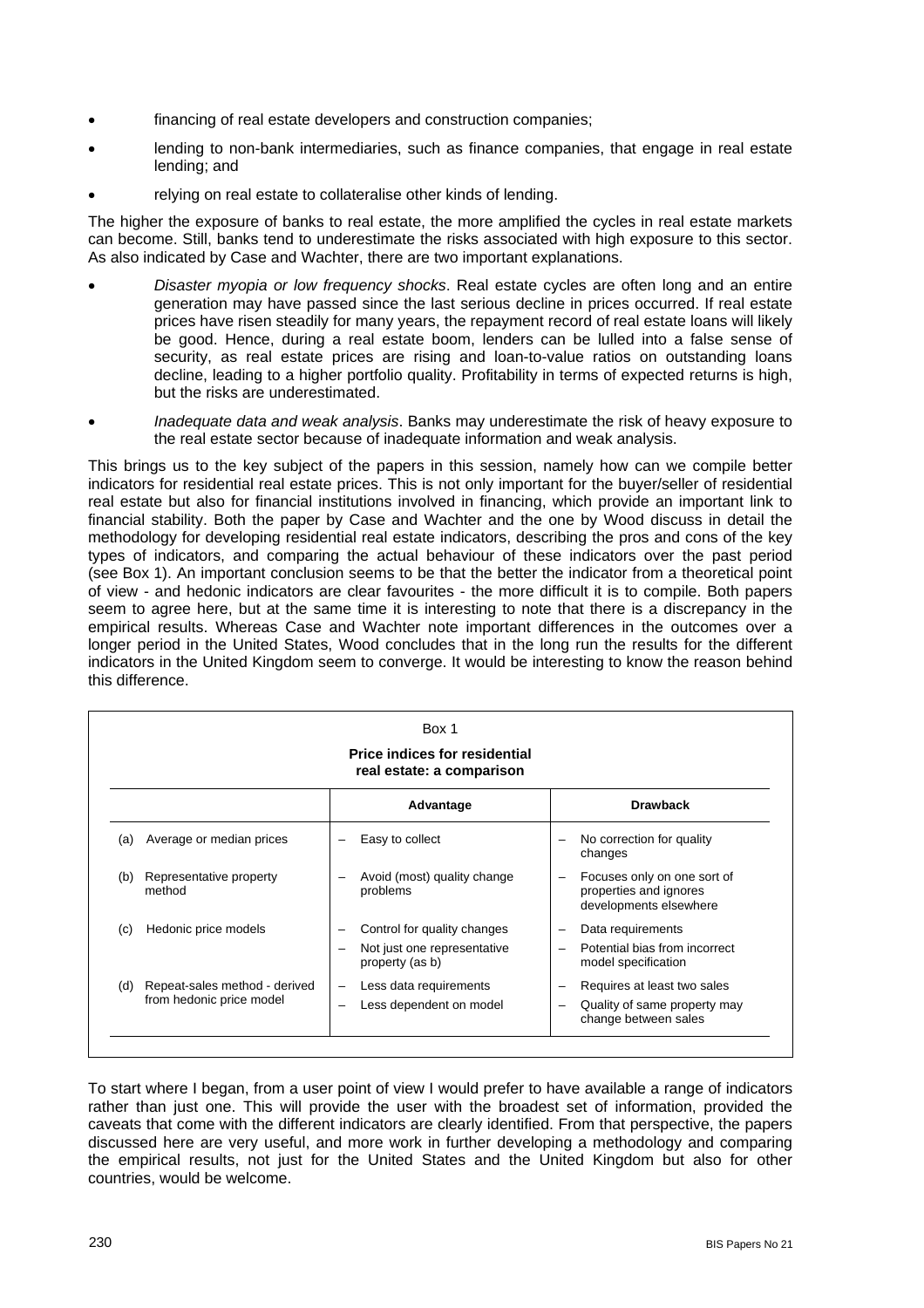- financing of real estate developers and construction companies;
- lending to non-bank intermediaries, such as finance companies, that engage in real estate lending; and
- relying on real estate to collateralise other kinds of lending.

The higher the exposure of banks to real estate, the more amplified the cycles in real estate markets can become. Still, banks tend to underestimate the risks associated with high exposure to this sector. As also indicated by Case and Wachter, there are two important explanations.

- *Disaster myopia or low frequency shocks*. Real estate cycles are often long and an entire generation may have passed since the last serious decline in prices occurred. If real estate prices have risen steadily for many years, the repayment record of real estate loans will likely be good. Hence, during a real estate boom, lenders can be lulled into a false sense of security, as real estate prices are rising and loan-to-value ratios on outstanding loans decline, leading to a higher portfolio quality. Profitability in terms of expected returns is high, but the risks are underestimated.
- *Inadequate data and weak analysis*. Banks may underestimate the risk of heavy exposure to the real estate sector because of inadequate information and weak analysis.

This brings us to the key subject of the papers in this session, namely how can we compile better indicators for residential real estate prices. This is not only important for the buyer/seller of residential real estate but also for financial institutions involved in financing, which provide an important link to financial stability. Both the paper by Case and Wachter and the one by Wood discuss in detail the methodology for developing residential real estate indicators, describing the pros and cons of the key types of indicators, and comparing the actual behaviour of these indicators over the past period (see Box 1). An important conclusion seems to be that the better the indicator from a theoretical point of view - and hedonic indicators are clear favourites - the more difficult it is to compile. Both papers seem to agree here, but at the same time it is interesting to note that there is a discrepancy in the empirical results. Whereas Case and Wachter note important differences in the outcomes over a longer period in the United States, Wood concludes that in the long run the results for the different indicators in the United Kingdom seem to converge. It would be interesting to know the reason behind this difference.

| <b>Price indices for residential</b><br>real estate: a comparison |                                                           |                          |                                                |  |                                                                                 |
|-------------------------------------------------------------------|-----------------------------------------------------------|--------------------------|------------------------------------------------|--|---------------------------------------------------------------------------------|
|                                                                   |                                                           |                          | Advantage                                      |  | <b>Drawback</b>                                                                 |
| (a)                                                               | Average or median prices                                  |                          | Easy to collect                                |  | No correction for quality<br>changes                                            |
| (b)                                                               | Representative property<br>method                         |                          | Avoid (most) quality change<br>problems        |  | Focuses only on one sort of<br>properties and ignores<br>developments elsewhere |
| (c)                                                               | Hedonic price models                                      |                          | Control for quality changes                    |  | Data requirements                                                               |
|                                                                   |                                                           | -                        | Not just one representative<br>property (as b) |  | Potential bias from incorrect<br>model specification                            |
| (d)                                                               | Repeat-sales method - derived<br>from hedonic price model | $\overline{\phantom{0}}$ | Less data requirements                         |  | Requires at least two sales                                                     |
|                                                                   |                                                           | -                        | Less dependent on model                        |  | Quality of same property may<br>change between sales                            |

To start where I began, from a user point of view I would prefer to have available a range of indicators rather than just one. This will provide the user with the broadest set of information, provided the caveats that come with the different indicators are clearly identified. From that perspective, the papers discussed here are very useful, and more work in further developing a methodology and comparing the empirical results, not just for the United States and the United Kingdom but also for other countries, would be welcome.